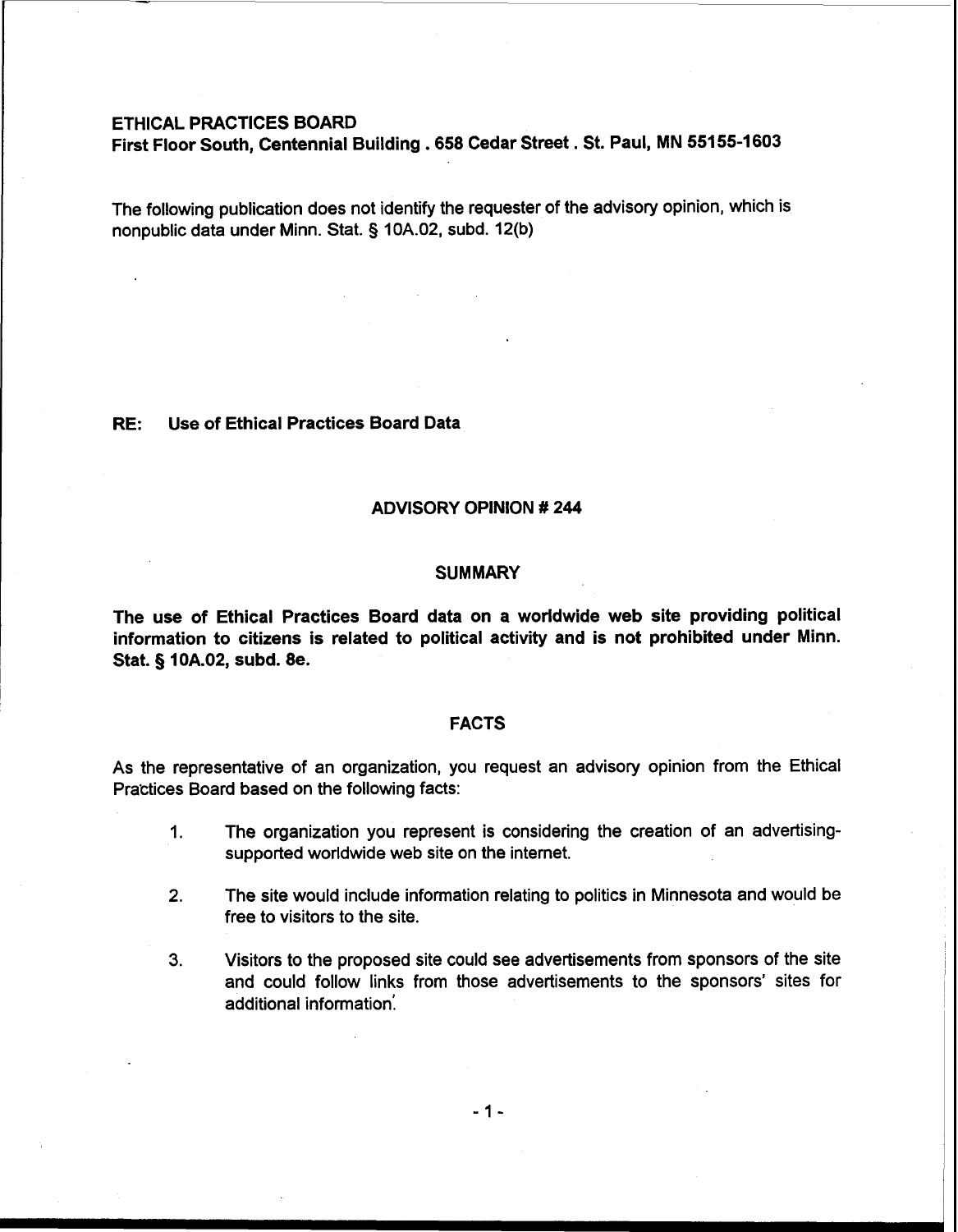#### ETHICAL PRACTICES BOARD

 $\mathcal{L}$ 

First Floor South, Centennial Building .658 Cedar Street. St. Paul, MN 55155-1603

The following publication does not identify the requester of the advisory opinion, which is nonpublic data under Minn. Stat. § 10A.02, subd. 12(b)

## RE: Use of Ethical Practices Board Data

## ADVISORY OPINION # 244

#### **SUMMARY**

The use of Ethical Practices Board data on a worldwide web site providing political information to citizens is related to political activity and is not prohibited under Minn. Stat. § 10A.02, subd. 8e.

## FACTS

As the representative of an organization, you request an advisory opinion from the Ethical Practices Board based on the following facts:

- 1. The organization you represent is considering the creation of an advertisingsupported worldwide web site on the internet.
- **2.** The site would include information relating to politics in Minnesota and would be free to visitors to the site.
- **3.** Visitors to the proposed site could see advertisements from sponsors of the site and could follow links from those advertisements to the sponsors' sites for additional information:

 $-1-$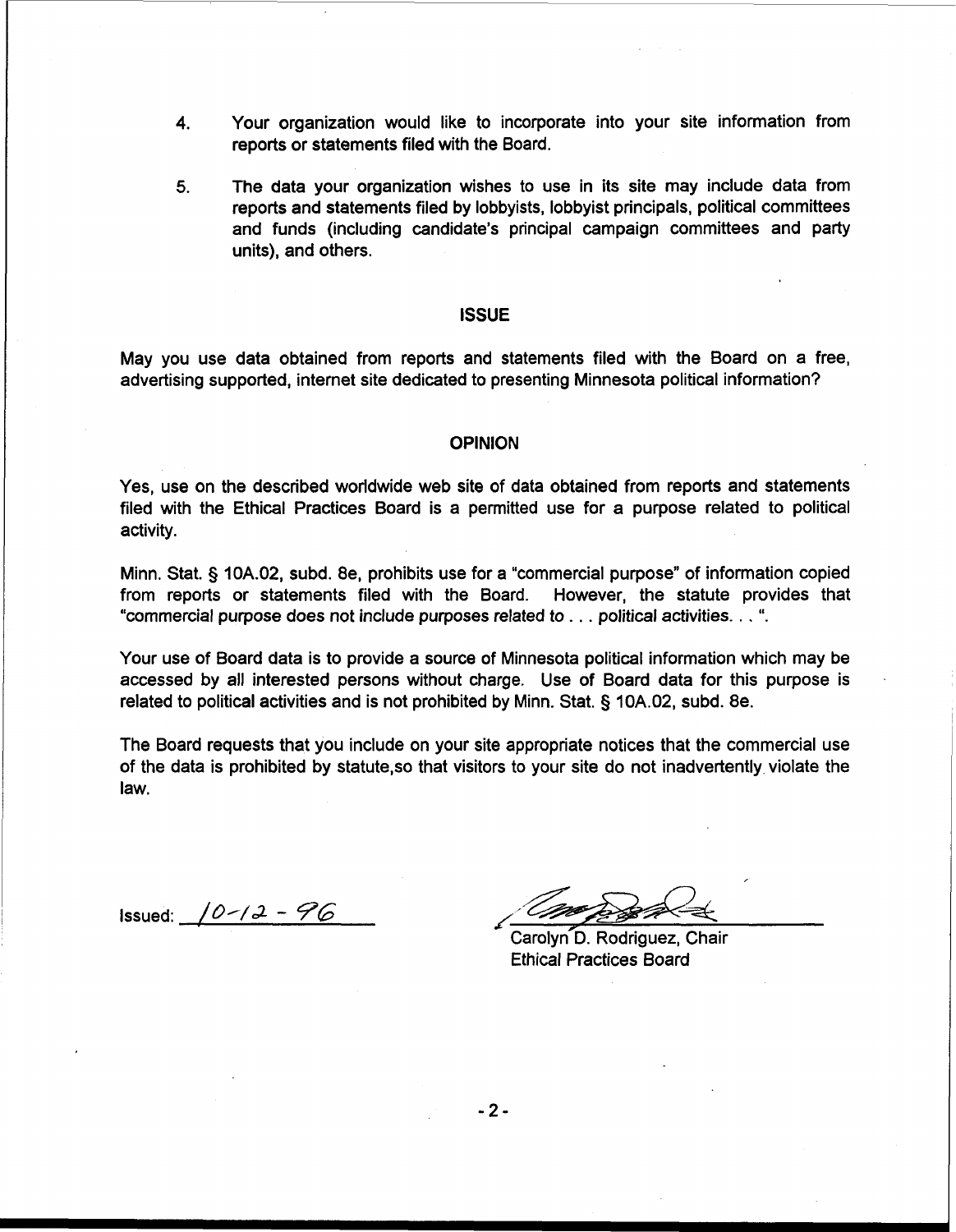- **4.** Your organization would like to incorporate into your site information from reports or statements filed with the Board.
- **5.** The data your organization wishes to use in its site may include data from reports and statements filed by lobbyists, lobbyist principals, political committees and funds (including candidate's principal campaign committees and party units), and others.

#### **ISSUE**

May you use data obtained from reports and statements filed with the Board on a free, advertising supported, internet site dedicated to presenting Minnesota political information?

#### **OPINION**

Yes, use on the described worldwide web site of data obtained from reports and statements filed with the Ethical Practices Board is a permitted use for a purpose related to political activity.

Minn. Stat. § 10A.02, subd. 8e, prohibits use for a "commercial purpose" of information copied from reports or statements filed with the Board. However, the statute provides that "commercial purpose does not include purposes related to . . . political activities. . . ".

Your use of Board data is to provide a source of Minnesota political information which may be accessed by all interested persons without charge. Use of Board data for this purpose is related to political activities and is not prohibited by Minn. Stat. § 10A.02, subd. 8e.

The Board requests that you include on your site appropriate notices that the commercial use of the data is prohibited **by** statute,so that visitors to your site do not inadvertently violate the law.

 $I$ ssued:  $10 - 12 - 96$ 

Carolyn D. Rodriguez, Chair **Ethical Practices Board** 

 $-2-$